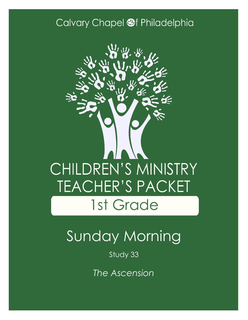### Calvary Chapel @f Philadelphia



# Sunday Morning

Study 33

*The Ascension*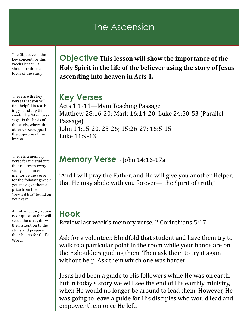### The Ascension

The Objective is the key concept for this weeks lesson. It should be the main focus of the study

These are the key verses that you will find helpful in teaching your study this week. The "Main passage" is the basis of the study, where the other verse support the objective of the lesson.

There is a memory verse for the students that relates to every study. If a student can memorize the verse for the following week you may give them a prize from the "reward box" found on your cart.

An introductory activity or question that will settle the class, draw their attention to the study and prepare their hearts for God's Word.

**Objective This lesson will show the importance of the Holy Spirit in the life of the believer using the story of Jesus ascending into heaven in Acts 1.**

#### **Key Verses**

Acts 1:1-11—Main Teaching Passage Matthew 28:16-20; Mark 16:14-20; Luke 24:50-53 (Parallel Passage) John 14:15-20, 25-26; 15:26-27; 16:5-15 Luke 11:9-13

#### **Memory Verse** - John 14:16-17a

"And I will pray the Father, and He will give you another Helper, that He may abide with you forever— the Spirit of truth,"

#### **Hook**

Review last week's memory verse, 2 Corinthians 5:17.

Ask for a volunteer. Blindfold that student and have them try to walk to a particular point in the room while your hands are on their shoulders guiding them. Then ask them to try it again without help. Ask them which one was harder.

Jesus had been a guide to His followers while He was on earth, but in today's story we will see the end of His earthly ministry, when He would no longer be around to lead them. However, He was going to leave a guide for His disciples who would lead and empower them once He left.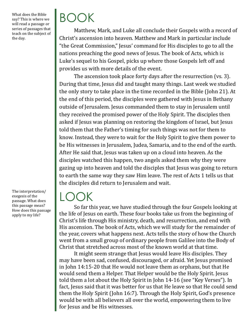What does the Bible say? This is where we will read a passage or series of passages that teach on the subject of the day.

The interpretation/ exegesis of the passage. What does this passage mean? How does this passage apply to my life?

# BOOK

Matthew, Mark, and Luke all conclude their Gospels with a record of Christ's ascension into heaven. Matthew and Mark in particular include "the Great Commission," Jesus' command for His disciples to go to all the nations preaching the good news of Jesus. The book of Acts, which is Luke's sequel to his Gospel, picks up where those Gospels left off and provides us with more details of the event.

The ascension took place forty days after the resurrection (vs. 3). During that time, Jesus did and taught many things. Last week we studied the only story to take place in the time recorded in the Bible (John 21). At the end of this period, the disciples were gathered with Jesus in Bethany outside of Jerusalem. Jesus commanded them to stay in Jerusalem until they received the promised power of the Holy Spirit. The disciples then asked if Jesus was planning on restoring the kingdom of Israel, but Jesus told them that the Father's timing for such things was not for them to know. Instead, they were to wait for the Holy Spirit to give them power to be His witnesses in Jerusalem, Judea, Samaria, and to the end of the earth. After He said that, Jesus was taken up on a cloud into heaven. As the disciples watched this happen, two angels asked them why they were gazing up into heaven and told the disciples that Jesus was going to return to earth the same way they saw Him leave. The rest of Acts 1 tells us that the disciples did return to Jerusalem and wait.

### LOOK

So far this year, we have studied through the four Gospels looking at the life of Jesus on earth. These four books take us from the beginning of Christ's life through His ministry, death, and resurrection, and end with His ascension. The book of Acts, which we will study for the remainder of the year, covers what happens next. Acts tells the story of how the Church went from a small group of ordinary people from Galilee into the Body of Christ that stretched across most of the known world at that time.

It might seem strange that Jesus would leave His disciples. They may have been sad, confused, discouraged, or afraid. Yet Jesus promised in John 14:15-20 that He would not leave them as orphans, but that He would send them a Helper. That Helper would be the Holy Spirit. Jesus told them a lot about the Holy Spirit in John 14-16 (see "Key Verses"). In fact, Jesus said that it was better for us that He leave so that He could send them the Holy Spirit (John 16:7). Through the Holy Spirit, God's presence would be with all believers all over the world, empowering them to live for Jesus and be His witnesses.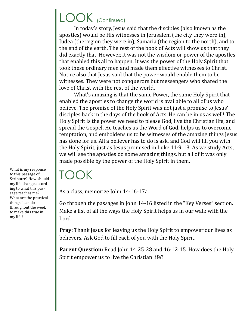### LOOK (Continued)

In today's story, Jesus said that the disciples (also known as the apostles) would be His witnesses in Jerusalem (the city they were in), Judea (the region they were in), Samaria (the region to the north), and to the end of the earth. The rest of the book of Acts will show us that they did exactly that. However, it was not the wisdom or power of the apostles that enabled this all to happen. It was the power of the Holy Spirit that took these ordinary men and made them effective witnesses to Christ. Notice also that Jesus said that the power would enable them to be witnesses. They were not conquerors but messengers who shared the love of Christ with the rest of the world.

What's amazing is that the same Power, the same Holy Spirit that enabled the apostles to change the world is available to all of us who believe. The promise of the Holy Spirit was not just a promise to Jesus' disciples back in the days of the book of Acts. He can be in us as well! The Holy Spirit is the power we need to please God, live the Christian life, and spread the Gospel. He teaches us the Word of God, helps us to overcome temptation, and emboldens us to be witnesses of the amazing things Jesus has done for us. All a believer has to do is ask, and God will fill you with the Holy Spirit, just as Jesus promised in Luke 11:9-13. As we study Acts, we will see the apostles do some amazing things, but all of it was only made possible by the power of the Holy Spirit in them.

### TOOK

As a class, memorize John 14:16-17a.

Go through the passages in John 14-16 listed in the "Key Verses" section. Make a list of all the ways the Holy Spirit helps us in our walk with the Lord.

**Pray:** Thank Jesus for leaving us the Holy Spirit to empower our lives as believers. Ask God to fill each of you with the Holy Spirit.

Parent Question: Read John 14:25-28 and 16:12-15. How does the Holy Spirit empower us to live the Christian life?

What is my response to this passage of Scripture? How should my life change according to what this passage teaches me? What are the practical things I can do throughout the week to make this true in my life?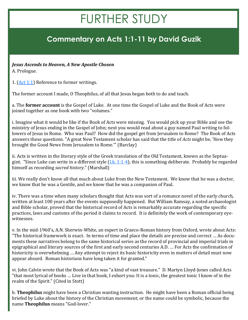## FURTHER STUDY

### **Commentary on Acts 1:1-11 by David Guzik**

*Jesus Ascends to Heaven, A New Apostle Chosen*

A. Prologue.

1. [\(Act 1:1\)](https://www.blueletterbible.org/kjv/acts/1/1/s_1019001) Reference to former writings.

The former account I made, O Theophilus, of all that Jesus began both to do and teach.

a. The **former account** is the Gospel of Luke. At one time the Gospel of Luke and the Book of Acts were joined together as one book with two "volumes."

i. Imagine what it would be like if the Book of Acts were missing. You would pick up your Bible and see the ministry of Jesus ending in the Gospel of John; next you would read about a guy named Paul writing to followers of Jesus in Rome. Who was Paul? How did the gospel get from Jerusalem to Rome? The Book of Acts answers these questions. "A great New Testament scholar has said that the title of *Acts* might be, 'How they brought the Good News from Jerusalem to Rome.'" (Barclay)

ii. Acts is written in the literary style of the Greek translation of the Old Testament, known as the Septuagint. "Since Luke can write in a different style  $(Lk. 1:1-4)$  $(Lk. 1:1-4)$  $(Lk. 1:1-4)$ , this is something deliberate. Probably he regarded himself as recording *sacred history*." (Marshall)

iii. We really don't know all that much about Luke from the New Testament. We know that he was a doctor, we know that he was a Gentile, and we know that he was a companion of Paul.

iv. There was a time when many scholars thought that Acts was sort of a romance novel of the early church, written at least 100 years after the events supposedly happened. But William Ramsay, a noted archaeologist and Bible scholar, proved that the historical record of Acts is remarkably accurate regarding the specific practices, laws and customs of the period it claims to record. It is definitely the work of contemporary eyewitnesses.

v. In the mid-1960's, A.N. Sherwin-White, an expert in Graeco-Roman history from Oxford, wrote about Acts: "The historical framework is exact. In terms of time and place the details are precise and correct … As documents these narratives belong to the same historical series as the record of provincial and imperial trials in epigraphical and literary sources of the first and early second centuries A.D. … For Acts the confirmation of historicity is overwhelming … Any attempt to reject its basic historicity even in matters of detail must now appear absurd. Roman historians have long taken it for granted."

vi. John Calvin wrote that the Book of Acts was "a kind of vast treasure." D. Martyn Lloyd-Jones called Acts "that most lyrical of books … Live in that book, I exhort you: It is a tonic, the greatest tonic I know of in the realm of the Spirit." (Cited in Stott)

b. **Theophilus** might have been a Christian wanting instruction. He might have been a Roman official being briefed by Luke about the history of the Christian movement; or the name could be symbolic, because the name **Theophilus** means "God-lover."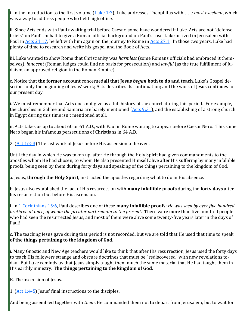i. In the introduction to the first volume ([Luke 1:3\),](https://www.blueletterbible.org/kjv/luke/1/3/s_974003) Luke addresses Theophilus with title *most excellent*, which was a way to address people who held high office.

ii. Since Acts ends with Paul awaiting trial before Caesar, some have wondered if Luke-Acts are not "defense briefs" on Paul's behalf to give a Roman official background on Paul's case. Luke arrived in Jerusalem with Paul in [Acts 21:17;](https://www.blueletterbible.org/kjv/acts/21/17/s_1039017) he left with him again on the journey to Rome in [Acts 27:1.](https://www.blueletterbible.org/kjv/acts/27/1/s_1045001) In those two years, Luke had plenty of time to research and write his gospel and the Book of Acts.

iii. Luke wanted to show Rome that Christianity was *harmless* (some Romans officials had embraced it themselves), *innocent* (Roman judges could find no basis for prosecution) and *lawful* (as the true fulfillment of Judaism, an approved religion in the Roman Empire).

c. Notice that **the former account** concerned**all that Jesus** *began* **both to do and teach**. Luke's Gospel describes only the beginning of Jesus' work; Acts describes its continuation; and the work of Jesus continues to our present day.

i. We must remember that Acts does not give us a full history of the church during this period. For example, the churches in Galilee and Samaria are barely mentioned [\(Acts 9:31\),](https://www.blueletterbible.org/kjv/acts/9/31/s_1027031) and the establishing of a strong church in Egypt during this time isn't mentioned at all.

ii. Acts takes us up to about 60 or 61 A.D., with Paul in Rome waiting to appear before Caesar Nero. This same Nero began his infamous persecutions of Christians in 64 A.D.

2.  $(Act 1:2-3)$  $(Act 1:2-3)$  $(Act 1:2-3)$  The last work of Jesus before His ascension to heaven.

Until the day in which He was taken up, after He through the Holy Spirit had given commandments to the apostles whom He had chosen, to whom He also presented Himself alive after His suffering by many infallible proofs, being seen by them during forty days and speaking of the things pertaining to the kingdom of God.

a. Jesus, **through the Holy Spirit**, instructed the apostles regarding what to do in His absence.

b. Jesus also established the fact of His resurrection with **many infallible proofs** during the **forty days** after his resurrection but before His ascension.

i. In [1 Corinthians 15:6,](https://www.blueletterbible.org/kjv/1corinthians/15/6/s_1077006) Paul describes one of these **many infallible proofs**: *He was seen by over five hundred brethren at once, of whom the greater part remain to the present*. There were more than five hundred people who had seen the resurrected Jesus, and most of them were alive some twenty-five years later in the days of Paul!

c. The teaching Jesus gave during that period is not recorded, but we are told that He used that time to speak **of the things pertaining to the kingdom of God**.

i. Many Gnostic and New Age teachers would like to think that after His resurrection, Jesus used the forty days to teach His followers strange and obscure doctrines that must be "rediscovered" with new revelations today. But Luke reminds us that Jesus simply taught them much the same material that He had taught them in His earthly ministry: **The things pertaining to the kingdom of God**.

B. The ascension of Jesus.

1. ([Act 1:4](https://www.blueletterbible.org/kjv/acts/1/4-5/s_1019004)-5) Jesus' final instructions to the disciples.

And being assembled together with *them*, He commanded them not to depart from Jerusalem, but to wait for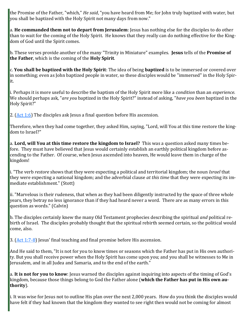the Promise of the Father, "which," *He said*, "you have heard from Me; for John truly baptized with water, but you shall be baptized with the Holy Spirit not many days from now."

a. **He commanded them not to depart from Jerusalem**: Jesus has nothing else for the disciples to do other than to wait for the coming of the Holy Spirit. He knows that they really can do nothing effective for the Kingdom of God until the Spirit comes.

b. These verses provide another of the many "Trinity in Miniature" examples. **Jesus** tells of the **Promise of the Father**, which is the coming of the **Holy Spirit**.

c. **You shall be baptized with the Holy Spirit**: The idea of being **baptized** is to be immersed or covered over in something; even as John baptized people in water, so these disciples would be "immersed" in the Holy Spirit.

i. Perhaps it is more useful to describe the baptism of the Holy Spirit more like a *condition* than an *experience*. We should perhaps ask, "*are you* baptized in the Holy Spirit?" instead of asking, "*have you been* baptized in the Holy Spirit?"

2.  $(Act 1:6)$  $(Act 1:6)$  The disciples ask Jesus a final question before His ascension.

Therefore, when they had come together, they asked Him, saying, "Lord, will You at this time restore the kingdom to Israel?"

a. **Lord, will You at this time restore the kingdom to Israel?** This was a question asked many times before. They must have believed that Jesus would certainly establish an earthly political kingdom before ascending to the Father. Of course, when Jesus ascended into heaven, He would leave them in charge of the kingdom!

i. "The verb *restore* shows that they were expecting a political and territorial kingdom; the noun *Israel* that they were expecting a national kingdom; and the adverbial clause *at this time* that they were expecting its immediate establishment." (Stott)

ii. "Marvelous is their rudeness, that when as they had been diligently instructed by the space of three whole years, they betray no less ignorance than if they had heard never a word. There are as many errors in this question as words." (Calvin)

b. The disciples certainly knew the many Old Testament prophecies describing the spiritual *and* political rebirth of Israel. The disciples probably thought that the spiritual rebirth seemed certain, so the political would come, also.

3. ([Act 1:7](https://www.blueletterbible.org/kjv/acts/1/7-8/s_1019007)-8) Jesus' final teaching and final promise before His ascension.

And He said to them, "It is not for you to know times or seasons which the Father has put in His own authority. But you shall receive power when the Holy Spirit has come upon you; and you shall be witnesses to Me in Jerusalem, and in all Judea and Samaria, and to the end of the earth."

a. **It is not for you to know**: Jesus warned the disciples against inquiring into aspects of the timing of God's kingdom, because those things belong to God the Father alone (**which the Father has put in His own authority**).

i. It was wise for Jesus not to outline His plan over the next 2,000 years. How do you think the disciples would have felt if they had known that the kingdom they wanted to see right then would not be coming for almost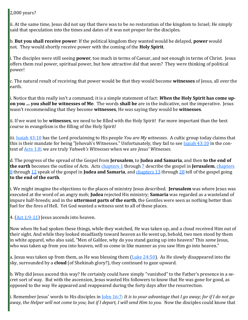#### 2,000 years?

ii. At the same time, Jesus did not say that there was to be *no* restoration of the kingdom to Israel; He simply said that speculation into the times and dates of it was not proper for the disciples.

b. **But you shall receive power**: If the political kingdom they wanted would be delayed, **power** would not. They would shortly receive power with the coming of the **Holy Spirit**.

i. The disciples were still seeing **power**, too much in terms of Caesar, and not enough in terms of Christ. Jesus offers them real power, spiritual power, but how attractive did that seem? They were thinking of political power!

c. The natural result of receiving that power would be that they would become **witnesses** of Jesus, all over the earth.

i. Notice that this really isn't a command; it is a simple statement of fact: *When* **the Holy Spirit has come upon you … you** *shall* **be witnesses of Me**. The words **shall be** are in the indicative, not the imperative. Jesus wasn't recommending that they become **witnesses**, He was saying they would be **witnesses**.

ii. If we want to be **witnesses**, we need to be filled with the Holy Spirit! Far more important than the best course in evangelism is the filling of the Holy Spirit!

iii. [Isaiah 43:10](https://www.blueletterbible.org/kjv/isaiah/43/10/s_722010) has the Lord proclaiming to His people *You are My witnesses*. A cultic group today claims that this is their mandate for being "Jehovah's Witnesses." Unfortunately, they fail to see **Isaiah 43:10** in the context of [Acts 1:8;](https://www.blueletterbible.org/kjv/acts/1/8/s_1019008) we are truly *Yahweh's Witnesses* when we are *Jesus' Witnesses*.

d. The progress of the spread of the Gospel from **Jerusalem**, to **Judea and Samaria**, and then **to the end of the earth** becomes the outline of Acts. Acts [chapters 1](https://www.blueletterbible.org/kjv/acts/1/1-26/s_1019001) through [7](https://www.blueletterbible.org/kjv/acts/7/1-60/s_1025001) describe the gospel in **Jerusalem**, [chapters](https://www.blueletterbible.org/kjv/acts/8/1-40/s_1026001)  [8](https://www.blueletterbible.org/kjv/acts/8/1-40/s_1026001) through [12](https://www.blueletterbible.org/kjv/acts/12/1-25/s_1030001) speak of the gospel in **Judea and Samaria**, and [chapters 13](https://www.blueletterbible.org/kjv/acts/13/1-52/s_1031001) through [28](https://www.blueletterbible.org/kjv/acts/28/1-31/s_1046001) tell of the gospel going **to the end of the earth**.

i. We might imagine the objections to the places of ministry Jesus described. **Jerusalem** was where Jesus was executed at the word of an angry mob; **Judea** rejected His ministry; **Samaria** was regarded as a wasteland of impure half-breeds; and in the **uttermost parts of the earth**, the Gentiles were seen as nothing better than fuel for the fires of Hell. Yet God wanted a witness sent to all of these places.

4.  $(Act 1:9-11)$  $(Act 1:9-11)$  $(Act 1:9-11)$  Jesus ascends into heaven.

Now when He had spoken these things, while they watched, He was taken up, and a cloud received Him out of their sight. And while they looked steadfastly toward heaven as He went up, behold, two men stood by them in white apparel, who also said, "Men of Galilee, why do you stand gazing up into heaven? This *same* Jesus, who was taken up from you into heaven, will so come in like manner as you saw Him go into heaven."

a. Jesus was taken up from them, as He was blessing them ([Luke 24:50\)](https://www.blueletterbible.org/kjv/luke/24/50/s_997050). As He slowly disappeared into the sky, surrounded by a **cloud** (of Shekinah glory?), they continued to gaze upward.

b. Why did Jesus ascend this way? He certainly could have simply "vanished" to the Father's presence in a secret sort of way. But with the ascension, Jesus wanted His followers to know that He was gone for good, as opposed to the way He appeared and reappeared during the forty days after the resurrection.

i. Remember Jesus' words to His disciples in [John 16:7:](https://www.blueletterbible.org/kjv/john/16/7/s_1013007) *It is to your advantage that I go away; for if I do not go away, the Helper will not come to you; but if I depart, I will send Him to you.* Now the disciples could know that